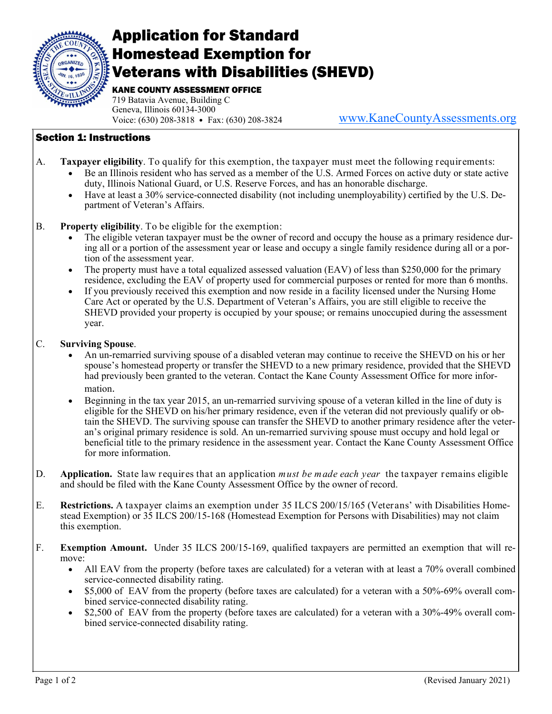

## Application for Standard Homestead Exemption for Veterans with Disabilities (SHEVD)

KANE COUNTY ASSESSMENT OFFICE

719 Batavia Avenue, Building C Geneva, Illinois 60134-3000 Voice: (630) 208-3818 • Fax: (630) 208-3824

www.KaneCountyAssessments.org

## Section 1: Instructions

- A. **Taxpayer eligibility**. To qualify for this exemption, the taxpayer must meet the following requirements:
	- Be an Illinois resident who has served as a member of the U.S. Armed Forces on active duty or state active duty, Illinois National Guard, or U.S. Reserve Forces, and has an honorable discharge.
	- Have at least a 30% service-connected disability (not including unemployability) certified by the U.S. Department of Veteran's Affairs.
- B. **Property eligibility**. To be eligible for the exemption:
	- The eligible veteran taxpayer must be the owner of record and occupy the house as a primary residence during all or a portion of the assessment year or lease and occupy a single family residence during all or a portion of the assessment year.
	- The property must have a total equalized assessed valuation (EAV) of less than \$250,000 for the primary residence, excluding the EAV of property used for commercial purposes or rented for more than 6 months.
	- If you previously received this exemption and now reside in a facility licensed under the Nursing Home Care Act or operated by the U.S. Department of Veteran's Affairs, you are still eligible to receive the SHEVD provided your property is occupied by your spouse; or remains unoccupied during the assessment year.

## C. **Surviving Spouse**.

- An un-remarried surviving spouse of a disabled veteran may continue to receive the SHEVD on his or her spouse's homestead property or transfer the SHEVD to a new primary residence, provided that the SHEVD had previously been granted to the veteran. Contact the Kane County Assessment Office for more information.
- Beginning in the tax year 2015, an un-remarried surviving spouse of a veteran killed in the line of duty is eligible for the SHEVD on his/her primary residence, even if the veteran did not previously qualify or obtain the SHEVD. The surviving spouse can transfer the SHEVD to another primary residence after the veteran's original primary residence is sold. An un-remarried surviving spouse must occupy and hold legal or beneficial title to the primary residence in the assessment year. Contact the Kane County Assessment Office for more information.
- D. **Application.** State law requires that an application *must be made each year* the taxpayer remains eligible and should be filed with the Kane County Assessment Office by the owner of record.
- E. **Restrictions.** A taxpayer claims an exemption under 35 ILCS 200/15/165 (Veterans' with Disabilities Homestead Exemption) or 35 ILCS 200/15-168 (Homestead Exemption for Persons with Disabilities) may not claim this exemption.
- F. **Exemption Amount.** Under 35 ILCS 200/15-169, qualified taxpayers are permitted an exemption that will remove:
	- All EAV from the property (before taxes are calculated) for a veteran with at least a 70% overall combined service-connected disability rating.
	- \$5,000 of EAV from the property (before taxes are calculated) for a veteran with a 50%-69% overall combined service-connected disability rating.
	- \$2,500 of EAV from the property (before taxes are calculated) for a veteran with a 30%-49% overall combined service-connected disability rating.